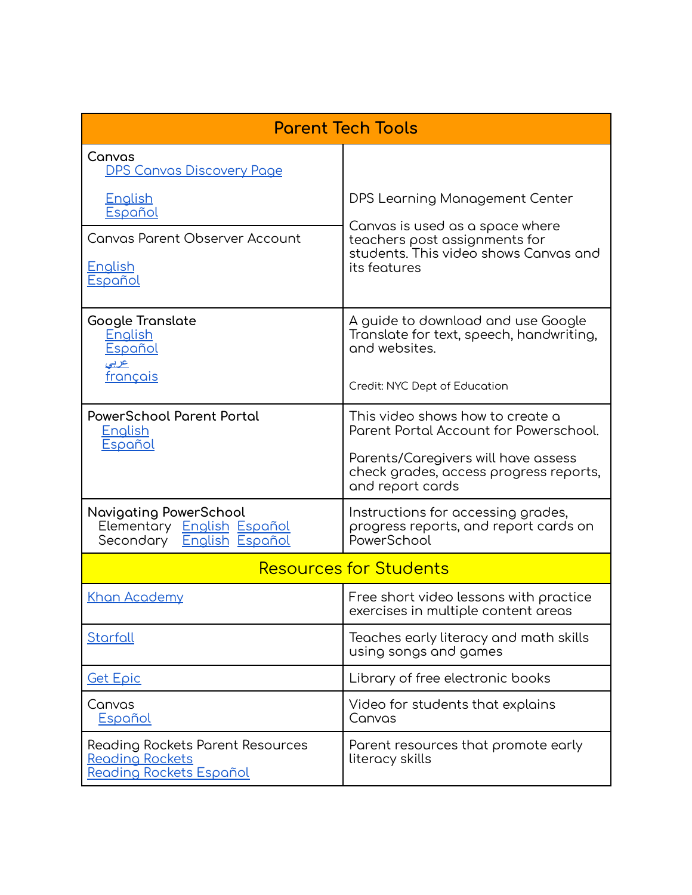| <b>Parent Tech Tools</b>                                                                 |                                                                                                                           |
|------------------------------------------------------------------------------------------|---------------------------------------------------------------------------------------------------------------------------|
| Canvas<br><b>DPS Canvas Discovery Page</b>                                               |                                                                                                                           |
| <b>English</b><br>Español                                                                | DPS Learning Management Center                                                                                            |
| <b>Canvas Parent Observer Account</b><br><b>English</b><br>Español                       | Canvas is used as a space where<br>teachers post assignments for<br>students. This video shows Canvas and<br>its features |
| Google Translate<br>English<br>Español<br><u>عربي</u>                                    | A guide to download and use Google<br>Translate for text, speech, handwriting,<br>and websites.                           |
| français                                                                                 | Credit: NYC Dept of Education                                                                                             |
| <b>PowerSchool Parent Portal</b><br><b>English</b><br>Español                            | This video shows how to create a<br>Parent Portal Account for Powerschool.                                                |
|                                                                                          | Parents/Caregivers will have assess<br>check grades, access progress reports,<br>and report cards                         |
| <b>Navigating PowerSchool</b><br>Elementary English Español<br>Secondary English Español | Instructions for accessing grades,<br>progress reports, and report cards on<br>PowerSchool                                |
| <b>Resources for Students</b>                                                            |                                                                                                                           |
| Khan Academy                                                                             | Free short video lessons with practice<br>exercises in multiple content areas                                             |
| Starfall                                                                                 | Teaches early literacy and math skills<br>using songs and games                                                           |
| <u>Get Epic</u>                                                                          | Library of free electronic books                                                                                          |
| Canvas<br>Español                                                                        | Video for students that explains<br>Canvas                                                                                |
| Reading Rockets Parent Resources<br>Reading Rockets<br>Reading Rockets Español           | Parent resources that promote early<br>literacy skills                                                                    |